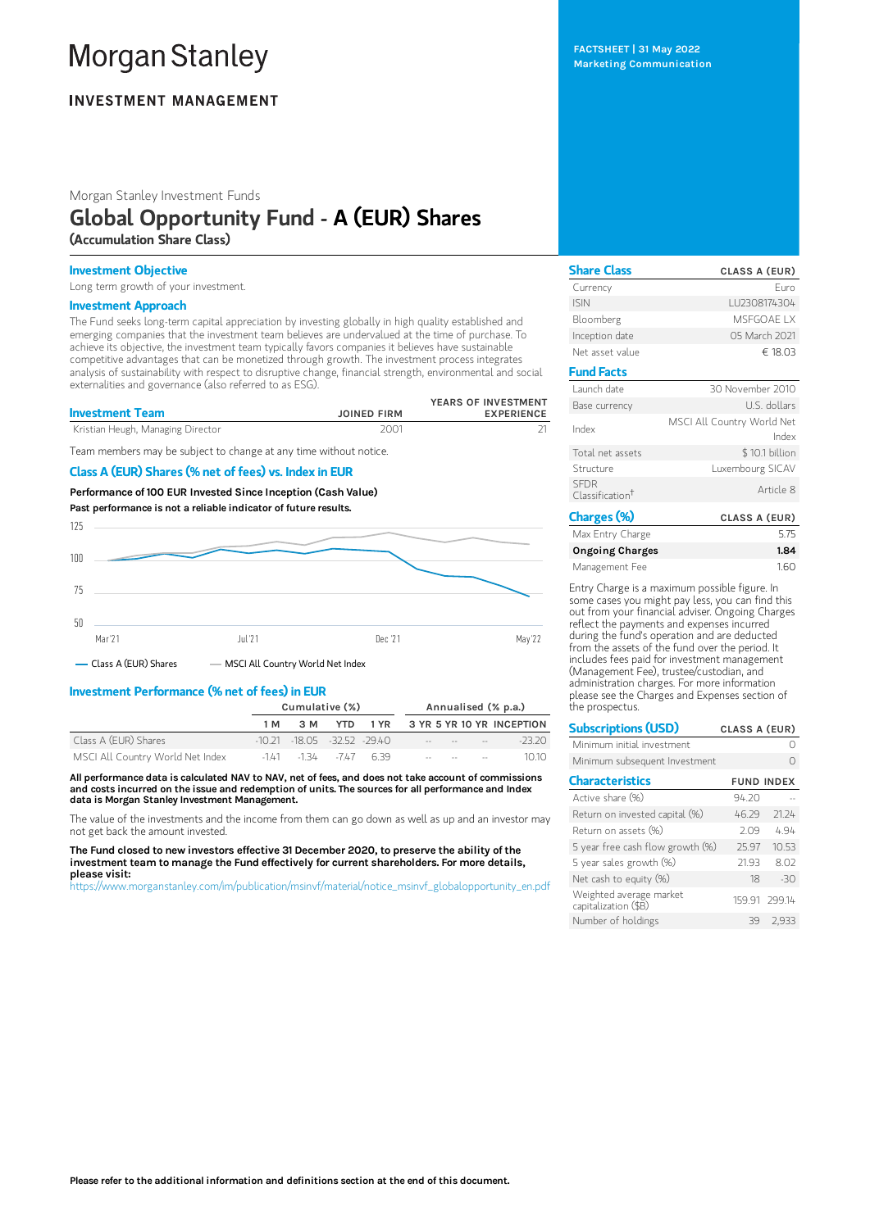# **Morgan Stanley**

# **INVESTMENT MANAGEMENT**

Morgan Stanley Investment Funds

## Global Opportunity Fund - A (EUR) Shares (Accumulation Share Class)

## Investment Objective

Long term growth of your investment.

### Investment Approach

The Fund seeks long-term capital appreciation by investing globally in high quality established and emerging companies that the investment team believes are undervalued at the time of purchase. To achieve its objective, the investment team typically favors companies it believes have sustainable competitive advantages that can be monetized through growth. The investment process integrates analysis of sustainability with respect to disruptive change, financial strength, environmental and social externalities and governance (also referred to as ESG).

| <b>Investment Team</b>            | <b>JOINED FIRM</b> | YEARS OF INVESTMENT<br><b>EXPERIENCE</b> |
|-----------------------------------|--------------------|------------------------------------------|
| Kristian Heugh, Managing Director | 2001               |                                          |

Team members may be subject to change at any time without notice.

## Class A (EUR) Shares (% net of fees) vs. Index in EUR

Performance of100 EUR Invested Since Inception (Cash Value) Past performance is not a reliable indicator of future results.



- Class A (EUR) Shares - MSCI All Country World Net Index

## Investment Performance (% net of fees) in EUR

|                                  |     | Cumulative (%)                   |  |  | Annualised (% p.a.) |                                                                                                                                                                                                                               |  |                                    |
|----------------------------------|-----|----------------------------------|--|--|---------------------|-------------------------------------------------------------------------------------------------------------------------------------------------------------------------------------------------------------------------------|--|------------------------------------|
|                                  | 1 M | 3 M                              |  |  |                     |                                                                                                                                                                                                                               |  | YTD 1 YR 3 YR 5 YR 10 YR INCEPTION |
| Class A (EUR) Shares             |     | $-10.21 - 18.05 - 32.52 - 29.40$ |  |  |                     | the company of the company of the company of the company of the company of the company of the company of the company of the company of the company of the company of the company of the company of the company of the company |  | $-23.20$                           |
| MSCI All Country World Net Index |     | $-141$ $-134$ $-747$ 6.39        |  |  |                     | the company's company's                                                                                                                                                                                                       |  | 1010                               |

All performance data is calculated NAV to NAV, net of fees, and does not take account of commissions and costs incurred on the issue and redemption of units. The sources for all performance and Index data is Morgan Stanley Investment Management.

The value of the investments and the income from them can go down as well as up and an investor may not get back the amount invested.

The Fund closed to new investors effective 31 December 2020, to preserve the ability of the investment team to manage the Fund effectively for current shareholders. For more details, please visit:

[https://www.morganstanley.com/im/publication/msinvf/material/notice\\_msinvf\\_globalopportunity\\_en.pdf](https://www.morganstanley.com/im/publication/msinvf/material/notice_msinvf_globalopportunity_en.pdf)

FACTSHEET | 31 May 2022 Marketing Communication

| <b>Share Class</b>                         | <b>CLASS A (EUR)</b>                |
|--------------------------------------------|-------------------------------------|
| Currency                                   | Euro                                |
| <b>ISIN</b>                                | LU2308174304                        |
| Bloomberg                                  | MSFGOAF I X                         |
| Inception date                             | 05 March 2021                       |
| Net asset value                            | € 18.03                             |
| <b>Fund Facts</b>                          |                                     |
| Launch date                                | 30 November 2010                    |
| Base currency                              | U.S. dollars                        |
| Index                                      | MSCI All Country World Net<br>Index |
| Total net assets                           | \$10.1 billion                      |
| Structure                                  | Luxembourg SICAV                    |
| <b>SFDR</b><br>Classification <sup>†</sup> | Article 8                           |
| Charges (%)                                | CLASS A (EUR)                       |
|                                            |                                     |

| Max Entry Charge | 5.75 |
|------------------|------|
| Ongoing Charges  | 1.84 |
| Management Fee   | 1.60 |

Entry Charge is a maximum possible figure. In some cases you might pay less, you can find this out from your financial adviser. Ongoing Charges reflect the payments and expenses incurred during the fund's operation and are deducted from the assets of the fund over the period. It includes fees paid for investment management (Management Fee), trustee/custodian, and administration charges. For more information please see the Charges and Expenses section of the prospectus.

| <b>Subscriptions (USD)</b>                      | CLASS A (EUR)     |               |
|-------------------------------------------------|-------------------|---------------|
| Minimum initial investment                      |                   |               |
| Minimum subsequent Investment                   |                   |               |
| <b>Characteristics</b>                          | <b>FUND INDEX</b> |               |
| Active share (%)                                | 94.20             |               |
| Return on invested capital (%)                  | 46.29             | 21.24         |
| Return on assets (%)                            | 2.09              | 4.94          |
| 5 year free cash flow growth (%)                | 25.97             | 10.53         |
| 5 year sales growth (%)                         | 21.93             | 8.02          |
| Net cash to equity $(\%)$                       | 18                | $-30$         |
| Weighted average market<br>capitalization (\$B) |                   | 159.91 299.14 |
| Number of holdings                              | 39                | 2.933         |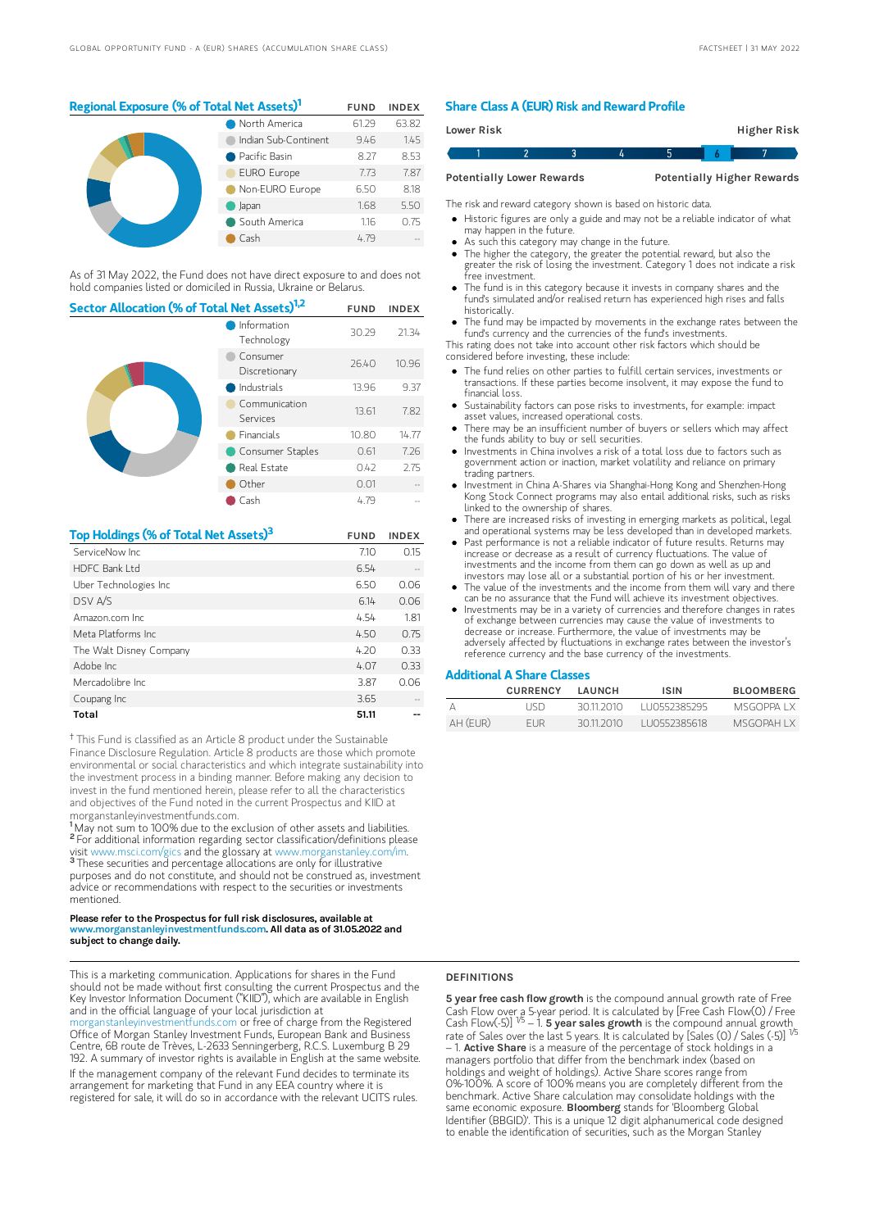## Regional Exposure (% of Total Net Assets)<sup>1</sup> FUND INDEX

|  | North America        | 61.29 | 63.82 |
|--|----------------------|-------|-------|
|  | Indian Sub-Continent | 9.46  | 1.45  |
|  | Pacific Basin        | 8.27  | 8.53  |
|  | <b>EURO Europe</b>   | 7.73  | 7.87  |
|  | Non-EURO Europe      | 6.50  | 8.18  |
|  | Japan                | 1.68  | 5.50  |
|  | South America        | 1.16  | 0.75  |
|  | Cash                 | 4.79  |       |

As of 31 May 2022, the Fund does not have direct exposure to and does not hold companies listed or domiciled in Russia, Ukraine or Belarus.

| Sector Allocation (% of Total Net Assets) <sup>1,2</sup> |                           |       | <b>INDEX</b> |
|----------------------------------------------------------|---------------------------|-------|--------------|
|                                                          | Information<br>Technology | 30.29 | 21.34        |
|                                                          | Consumer<br>Discretionary | 26.40 | 10.96        |
|                                                          | Industrials               | 13.96 | 9.37         |
|                                                          | Communication<br>Services | 13.61 | 7.82         |
|                                                          | <b>Financials</b>         | 10.80 | 14.77        |
|                                                          | Consumer Staples          | 0.61  | 7.26         |
|                                                          | Real Estate               | 0.42  | 2.75         |
|                                                          | Other                     | 0.01  |              |
|                                                          | Cash                      | 4.79  |              |

| Top Holdings (% of Total Net Assets) <sup>3</sup> | <b>FUND</b> | <b>INDEX</b> |
|---------------------------------------------------|-------------|--------------|
| ServiceNow Inc.                                   | 7.10        | 0.15         |
| HDFC Bank I td                                    | 6.54        |              |
| Uber Technologies Inc                             | 6.50        | 0.06         |
| DSV A/S                                           | 6.14        | 0.06         |
| Amazon.com Inc.                                   | 4.54        | 1.81         |
| Meta Platforms Inc.                               | 4.50        | 0.75         |
| The Walt Disney Company                           | 4.20        | 0.33         |
| Adobe Inc                                         | 4.07        | 0.33         |
| Mercadolibre Inc.                                 | 3.87        | 0.06         |
| Coupang Inc                                       | 3.65        |              |
| Total                                             | 51.11       |              |

<sup>†</sup> This Fund is classified as an Article 8 product under the Sustainable Finance Disclosure Regulation. Article 8 products are those which promote environmental or social characteristics and which integrate sustainability into the investment process in a binding manner. Before making any decision to invest in the fund mentioned herein, please refer to all the characteristics and objectives of the Fund noted in the current Prospectus and KIID at morganstanleyinvestmentfunds.com.

<sup>1</sup>May not sum to 100% due to the exclusion of other assets and liabilities. <sup>2</sup> For additional information regarding sector classification/definitions please visit www.msci.com/gics and the glossary at www.morganstanley.com/im. <sup>3</sup> These securities and percentage allocations are only for illustrative purposes and do not constitute, and should not be construed as, investment advice or recommendations with respect to the securities or investments mentioned.

#### Please refer to the Prospectus for full risk disclosures, available at www.morganstanleyinvestmentfunds.com. All data as of 31.05.2022 and subject to change daily.

This is a marketing communication. Applications for shares in the Fund should not be made without first consulting the current Prospectus and the Key Investor Information Document ("KIID"), which are available in English and in the official language of your local jurisdiction at

organstanleyinvestmentfunds.com or free of charge from the Registered Office of Morgan Stanley Investment Funds, European Bank and Business Centre, 6B route de Trèves, L-2633 Senningerberg, R.C.S. Luxemburg B 29 192. A summary of investor rights is available in English at the same website.

If the management company of the relevant Fund decides to terminate its arrangement for marketing that Fund in any EEA country where it is registered for sale, it will do so in accordance with the relevant UCITS rules.

#### Share Class A (EUR) Risk and Reward Profile

| <b>Lower Risk</b> |                                  |  |  | Higher Risk                       |  |
|-------------------|----------------------------------|--|--|-----------------------------------|--|
|                   |                                  |  |  |                                   |  |
|                   | <b>Potentially Lower Rewards</b> |  |  | <b>Potentially Higher Rewards</b> |  |

The risk and reward category shown is based on historic data.

- Historic figures are only a guide and may not be a reliable indicator of what may happen in the future.
- As such this category may change in the future.
- The higher the category, the greater the potential reward, but also the greater the risk of losing the investment. Category 1 does not indicate a risk free investment.
- The fund is in this category because it invests in company shares and the fund's simulated and/or realised return has experienced high rises and falls historically.
- The fund may be impacted by movements in the exchange rates between the fund's currency and the currencies of the fund's investments.

This rating does not take into account other risk factors which should be considered before investing, these include:

- The fund relies on other parties to fulfill certain services, investments or transactions. If these parties become insolvent, it may expose the fund to financial loss.
- Sustainability factors can pose risks to investments, for example: impact asset values, increased operational costs.
- There may be an insufficient number of buyers or sellers which may affect the funds ability to buy or sell securities.
- Investments in China involves a risk of a total loss due to factors such as government action or inaction, market volatility and reliance on primary trading partners.
- Investment in China A-Shares via Shanghai-Hong Kong and Shenzhen-Hong Kong Stock Connect programs may also entail additional risks, such as risks linked to the ownership of shares.
- There are increased risks of investing in emerging markets as political, legal and operational systems may be less developed than in developed markets.
- Past performance is not a reliable indicator of future results. Returns may increase or decrease as a result of currency fluctuations. The value of investments and the income from them can go down as well as up and
- investors may lose all or a substantial portion of his or her investment. The value of the investments and the income from them will vary and there can be no assurance that the Fund will achieve its investment objectives.
- Investments may be in a variety of currencies and therefore changes in rates of exchange between currencies may cause the value of investments to decrease or increase. Furthermore, the value of investments may be adversely affected by fluctuations in exchange rates between the investor's reference currency and the base currency of the investments.

#### Additional A Share Classes

|          | <b>CURRENCY</b> | <b>I AUNCH</b> | <b>ISIN</b>   | <b>BLOOMBERG</b> |
|----------|-----------------|----------------|---------------|------------------|
|          | I ISD.          | 30.11.2010     | 1110552385295 | MSGOPPA I X      |
| AH (FUR) | <b>FUR</b>      | 30112010       | LU0552385618  | MSGOPAH I X      |

#### DEFINITIONS

5 year free cash flow growth is the compound annual growth rate of Free Cash Flow over a 5-year period. It is calculated by [Free Cash Flow(0) / Free<br>Cash Flow(-5)] <sup>1/5</sup> – 1. **5 year saIes growth** is the compound annual growth\_ rate of Sales over the last 5 years. It is calculated by [Sales (0) / Sales (-5)]  $-$  1. Active Share is a measure of the percentage of stock holdings in a managers portfolio that differ from the benchmark index (based on holdings and weight of holdings). Active Share scores range from 0%-100%. A score of 100% means you are completely different from the benchmark. Active Share calculation may consolidate holdings with the same economic exposure. Bloomberg stands for 'Bloomberg Global Identifier (BBGID)'. This is a unique 12 digit alphanumerical code designed to enable the identification of securities, such as the Morgan Stanley 1/5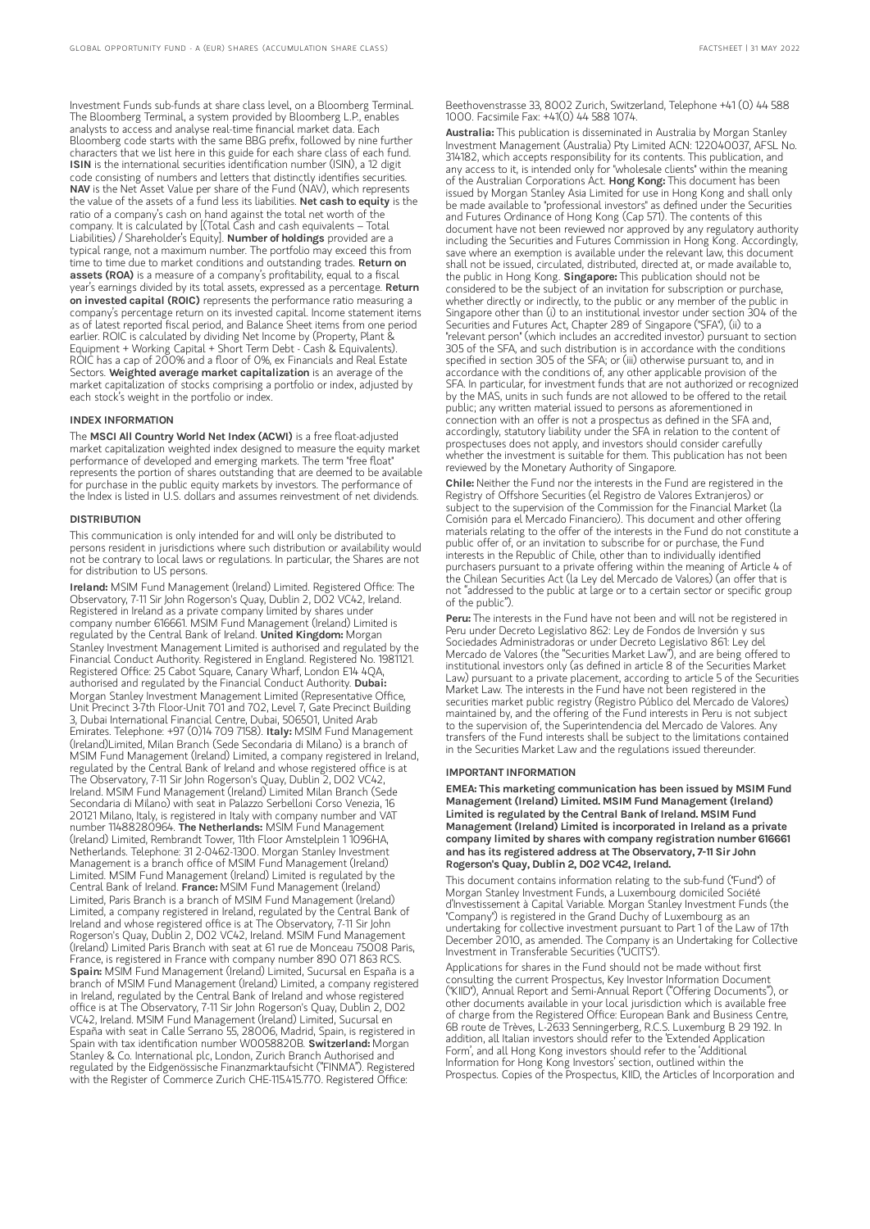Investment Funds sub-funds at share class level, on a Bloomberg Terminal. The Bloomberg Terminal, a system provided by Bloomberg L.P., enables analysts to access and analyse real-time financial market data. Each Bloomberg code starts with the same BBG prefix, followed by nine further characters that we list here in this guide for each share class of each fund. ISIN is the international securities identification number (ISIN), a 12 digit code consisting of numbers and letters that distinctly identifies securities. NAV is the Net Asset Value per share of the Fund (NAV), which represents the value of the assets of a fund less its liabilities. Net cash to equity is the ratio of a company's cash on hand against the total net worth of the company. It is calculated by [(Total Cash and cash equivalents – Total Liabilities) / Shareholder's Equity]. Number of holdings provided are a typical range, not a maximum number. The portfolio may exceed this from time to time due to market conditions and outstanding trades. **Return on** assets (ROA) is a measure of a company's profitability, equal to a fiscal year's earnings divided by its total assets, expressed as a percentage. **Return** on invested capital (ROIC) represents the performance ratio measuring a company's percentage return on its invested capital. Income statement items as of latest reported fiscal period, and Balance Sheet items from one period earlier. ROIC is calculated by dividing Net Income by (Property, Plant & Equipment + Working Capital + Short Term Debt - Cash & Equivalents). ROIC has a cap of 200% and a floor of 0%, ex Financials and Real Estate Sectors. Weighted average market capitalization is an average of the market capitalization of stocks comprising a portfolio or index, adjusted by each stock's weight in the portfolio or index.

#### INDEX INFORMATION

The MSCI All Country World Net Index (ACWI) is a free float-adjusted market capitalization weighted index designed to measure the equity market performance of developed and emerging markets. The term "free float" represents the portion of shares outstanding that are deemed to be available for purchase in the public equity markets by investors. The performance of the Index is listed in U.S. dollars and assumes reinvestment of net dividends.

#### **DISTRIBUTION**

This communication is only intended for and will only be distributed to persons resident in jurisdictions where such distribution or availability would not be contrary to local laws or regulations. In particular, the Shares are not for distribution to US persons.

Ireland: MSIM Fund Management (Ireland) Limited. Registered Office: The Observatory, 7-11 Sir John Rogerson's Quay, Dublin 2, D02 VC42, Ireland. Registered in Ireland as a private company limited by shares under company number 616661. MSIM Fund Management (Ireland) Limited is regulated by the Central Bank of Ireland. United Kingdom: Morgan Stanley Investment Management Limited is authorised and regulated by the Financial Conduct Authority. Registered in England. Registered No. 1981121. Registered Office: 25 Cabot Square, Canary Wharf, London E14 4QA, authorised and regulated by the Financial Conduct Authority. Dubai: Morgan Stanley Investment Management Limited (Representative Office, Unit Precinct 3-7th Floor-Unit 701 and 702, Level 7, Gate Precinct Building 3, Dubai International Financial Centre, Dubai, 506501, United Arab Emirates. Telephone: +97 (0)14 709 7158). Italy: MSIM Fund Management (Ireland)Limited, Milan Branch (Sede Secondaria di Milano) is a branch of MSIM Fund Management (Ireland) Limited, a company registered in Ireland, regulated by the Central Bank of Ireland and whose registered office is at The Observatory, 7-11 Sir John Rogerson's Quay, Dublin 2, D02 VC42, Ireland. MSIM Fund Management (Ireland) Limited Milan Branch (Sede Secondaria di Milano) with seat in Palazzo Serbelloni Corso Venezia, 16 20121 Milano, Italy, is registered in Italy with company number and VAT number 11488280964. The Netherlands: MSIM Fund Management (Ireland) Limited, Rembrandt Tower, 11th Floor Amstelplein 1 1096HA, Netherlands. Telephone: 31 2-0462-1300. Morgan Stanley Investment Management is a branch office of MSIM Fund Management (Ireland) Limited. MSIM Fund Management (Ireland) Limited is regulated by the Central Bank of Ireland. France: MSIM Fund Management (Ireland) Limited, Paris Branch is a branch of MSIM Fund Management (Ireland) Limited, a company registered in Ireland, regulated by the Central Bank of Ireland and whose registered office is at The Observatory, 7-11 Sir John Rogerson's Quay, Dublin 2, D02 VC42, Ireland. MSIM Fund Management (Ireland) Limited Paris Branch with seat at 61 rue de Monceau 75008 Paris, France, is registered in France with company number 890 071 863 RCS. Spain: MSIM Fund Management (Ireland) Limited, Sucursal en España is a branch of MSIM Fund Management (Ireland) Limited, a company registered in Ireland, regulated by the Central Bank of Ireland and whose registered office is at The Observatory, 7-11 Sir John Rogerson's Quay, Dublin 2, D02 VC42, Ireland. MSIM Fund Management (Ireland) Limited, Sucursal en España with seat in Calle Serrano 55, 28006, Madrid, Spain, is registered in Spain with tax identification number W0058820B. Switzerland: Morgan Stanley & Co. International plc, London, Zurich Branch Authorised and regulated by the Eidgenössische Finanzmarktaufsicht ("FINMA"). Registered with the Register of Commerce Zurich CHE-115.415.770. Registered Office:

Beethovenstrasse 33, 8002 Zurich, Switzerland, Telephone +41 (0) 44 588 1000. Facsimile Fax: +41(0) 44 588 1074.

Australia: This publication is disseminated in Australia by Morgan Stanley Investment Management (Australia) Pty Limited ACN: 122040037, AFSL No. 314182, which accepts responsibility for its contents. This publication, and any access to it, is intended only for "wholesale clients" within the meaning of the Australian Corporations Act. Hong Kong: This document has been issued by Morgan Stanley Asia Limited for use in Hong Kong and shall only be made available to "professional investors" as defined under the Securities and Futures Ordinance of Hong Kong (Cap 571). The contents of this document have not been reviewed nor approved by any regulatory authority including the Securities and Futures Commission in Hong Kong. Accordingly, save where an exemption is available under the relevant law, this document shall not be issued, circulated, distributed, directed at, or made available to, the public in Hong Kong. Singapore: This publication should not be considered to be the subject of an invitation for subscription or purchase, whether directly or indirectly, to the public or any member of the public in Singapore other than (i) to an institutional investor under section 304 of the Securities and Futures Act, Chapter 289 of Singapore ("SFA"), (ii) to a "relevant person" (which includes an accredited investor) pursuant to section 305 of the SFA, and such distribution is in accordance with the conditions specified in section 305 of the SFA; or (iii) otherwise pursuant to, and in accordance with the conditions of, any other applicable provision of the SFA. In particular, for investment funds that are not authorized or recognized by the MAS, units in such funds are not allowed to be offered to the retail public; any written material issued to persons as aforementioned in connection with an offer is not a prospectus as defined in the SFA and, accordingly, statutory liability under the SFA in relation to the content of prospectuses does not apply, and investors should consider carefully whether the investment is suitable for them. This publication has not been reviewed by the Monetary Authority of Singapore.

Chile: Neither the Fund nor the interests in the Fund are registered in the Registry of Offshore Securities (el Registro de Valores Extranjeros) or subject to the supervision of the Commission for the Financial Market (la Comisión para el Mercado Financiero). This document and other offering materials relating to the offer of the interests in the Fund do not constitute a public offer of, or an invitation to subscribe for or purchase, the Fund interests in the Republic of Chile, other than to individually identified purchasers pursuant to a private offering within the meaning of Article 4 of the Chilean Securities Act (la Ley del Mercado de Valores) (an offer that is not "addressed to the public at large or to a certain sector or specific group of the public").

Peru: The interests in the Fund have not been and will not be registered in Peru under Decreto Legislativo 862: Ley de Fondos de Inversión y sus Sociedades Administradoras or under Decreto Legislativo 861: Ley del Mercado de Valores (the "Securities Market Law"), and are being offered to institutional investors only (as defined in article 8 of the Securities Market Law) pursuant to a private placement, according to article 5 of the Securities Market Law. The interests in the Fund have not been registered in the securities market public registry (Registro Público del Mercado de Valores) maintained by, and the offering of the Fund interests in Peru is not subject to the supervision of, the Superintendencia del Mercado de Valores. Any transfers of the Fund interests shall be subject to the limitations contained in the Securities Market Law and the regulations issued thereunder.

#### IMPORTANT INFORMATION

EMEA: This marketing communication has been issued by MSIM Fund Management (Ireland) Limited. MSIM Fund Management (Ireland) Limited is regulated by the Central Bank of Ireland. MSIM Fund Management (Ireland) Limited is incorporated in Ireland as a private company limited by shares with company registration number 616661 and has its registered address at The Observatory, 7-11 Sir John Rogerson's Quay, Dublin 2, D02 VC42, Ireland.

This document contains information relating to the sub-fund ("Fund") of Morgan Stanley Investment Funds, a Luxembourg domiciled Société d'Investissement à Capital Variable. Morgan Stanley Investment Funds (the "Company") is registered in the Grand Duchy of Luxembourg as an undertaking for collective investment pursuant to Part 1 of the Law of 17th December 2010, as amended. The Company is an Undertaking for Collective Investment in Transferable Securities ("UCITS").

Applications for shares in the Fund should not be made without first consulting the current Prospectus, Key Investor Information Document ("KIID"), Annual Report and Semi-Annual Report ("Offering Documents"), or other documents available in your local jurisdiction which is available free of charge from the Registered Office: European Bank and Business Centre, 6B route de Trèves, L-2633 Senningerberg, R.C.S. Luxemburg B 29 192. In addition, all Italian investors should refer to the 'Extended Application Form', and all Hong Kong investors should refer to the 'Additional Information for Hong Kong Investors' section, outlined within the Prospectus. Copies of the Prospectus, KIID, the Articles of Incorporation and